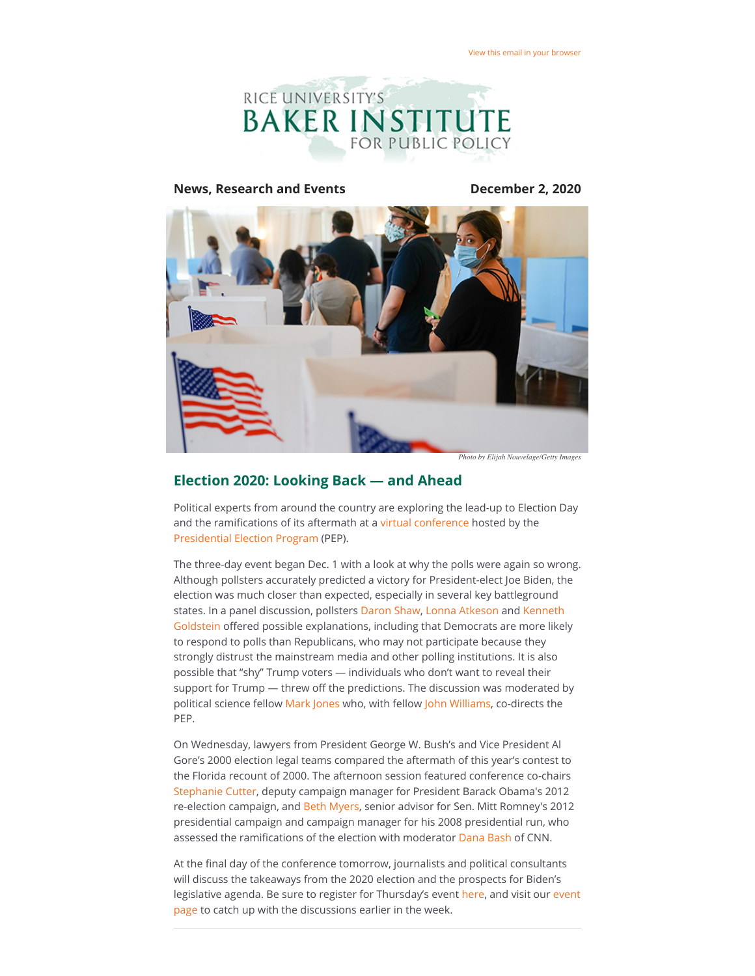

#### **News, Research and Events December 2, 2020**



*Photo by Elijah Nouvelage/Getty Images*

#### **Election 2020: Looking Back — and Ahead**

Political experts from around the country are exploring the lead-up to Election Day and the ramifications of its aftermath at a [virtual conference](https://riceconnect.rice.edu/page.redir?target=https%3a%2f%2fwww.bakerinstitute.org%2fevents%2fsearch%2f%3fstart_dt%3d2020-11-11%26end_dt%3d%26event_group%3d%26search_category%3dtags__icontains%26q%3dPEP2020%26search%3dSearch&srcid=187380&srctid=1&erid=e98b76bc-b037-44e7-a64b-d59790f26d8f&trid=e98b76bc-b037-44e7-a64b-d59790f26d8f) hosted by the [Presidential Election Program](https://riceconnect.rice.edu/page.redir?target=https%3a%2f%2fwww.bakerinstitute.org%2fpresidential-elections-program%2f&srcid=187380&srctid=1&erid=e98b76bc-b037-44e7-a64b-d59790f26d8f&trid=e98b76bc-b037-44e7-a64b-d59790f26d8f) (PEP).

The three-day event began Dec. 1 with a look at why the polls were again so wrong. Although pollsters accurately predicted a victory for President-elect Joe Biden, the election was much closer than expected, especially in several key battleground states. In a panel discussion, pollsters [Daron Shaw](https://riceconnect.rice.edu/page.redir?target=https%3a%2f%2fliberalarts.utexas.edu%2fgovernment%2ffaculty%2fshawdr&srcid=187380&srctid=1&erid=e98b76bc-b037-44e7-a64b-d59790f26d8f&trid=e98b76bc-b037-44e7-a64b-d59790f26d8f), [Lonna Atkeson](https://riceconnect.rice.edu/page.redir?target=https%3a%2f%2fpolisci.unm.edu%2fpeople%2ffaculty%2fprofile%2flonna-r.-atkeson.html&srcid=187380&srctid=1&erid=e98b76bc-b037-44e7-a64b-d59790f26d8f&trid=e98b76bc-b037-44e7-a64b-d59790f26d8f) and Kenneth Goldstein offered possible explanations, including that Democrats are more likely to respond to polls than Republicans, who may not participate because they strongly distrust the mainstream media and other polling institutions. It is also possible that "shy" Trump voters — individuals who don't want to reveal their support for Trump - threw off the predictions. The discussion was moderated by political science fellow [Mark Jones](https://riceconnect.rice.edu/page.redir?target=https%3a%2f%2fwww.bakerinstitute.org%2fexperts%2fmark-p-jones%2f&srcid=187380&srctid=1&erid=e98b76bc-b037-44e7-a64b-d59790f26d8f&trid=e98b76bc-b037-44e7-a64b-d59790f26d8f) who, with fellow [John Williams](https://riceconnect.rice.edu/page.redir?target=https%3a%2f%2fwww.bakerinstitute.org%2fexperts%2fjohn-b-williams%2f&srcid=187380&srctid=1&erid=e98b76bc-b037-44e7-a64b-d59790f26d8f&trid=e98b76bc-b037-44e7-a64b-d59790f26d8f), co-directs the PEP.

On Wednesday, lawyers from President George W. Bush's and Vice President Al Gore's 2000 election legal teams compared the aftermath of this year's contest to the Florida recount of 2000. The afternoon session featured conference co-chairs [Stephanie Cutter,](https://riceconnect.rice.edu/page.redir?target=https%3a%2f%2fwww.cnn.com%2fCNN%2fanchors_reporters%2fcutter.stephanie.html&srcid=187380&srctid=1&erid=e98b76bc-b037-44e7-a64b-d59790f26d8f&trid=e98b76bc-b037-44e7-a64b-d59790f26d8f) deputy campaign manager for President Barack Obama's 2012 re-election campaign, and [Beth Myers](https://riceconnect.rice.edu/page.redir?target=https%3a%2f%2fiop.harvard.edu%2ffellows%2fbeth-myers&srcid=187380&srctid=1&erid=e98b76bc-b037-44e7-a64b-d59790f26d8f&trid=e98b76bc-b037-44e7-a64b-d59790f26d8f), senior advisor for Sen. Mitt Romney's 2012 presidential campaign and campaign manager for his 2008 presidential run, who assessed the ramifications of the election with moderator [Dana Bash](https://riceconnect.rice.edu/page.redir?target=https%3a%2f%2fcnn.it%2f33CthZs&srcid=187380&srctid=1&erid=e98b76bc-b037-44e7-a64b-d59790f26d8f&trid=e98b76bc-b037-44e7-a64b-d59790f26d8f) of CNN.

At the final day of the conference tomorrow, journalists and political consultants will discuss the takeaways from the 2020 election and the prospects for Biden's [legislative agenda. Be sure to register for Thursday's event h](https://riceconnect.rice.edu/page.redir?target=https%3a%2f%2fwww.bakerinstitute.org%2fevents%2fsearch%2f%3fstart_dt%3d2020-11-11%26end_dt%3d%26event_group%3d%26search_category%3dtags__icontains%26q%3dPEP2020%26search%3dSearch&srcid=187380&srctid=1&erid=e98b76bc-b037-44e7-a64b-d59790f26d8f&trid=e98b76bc-b037-44e7-a64b-d59790f26d8f)[ere](https://riceconnect.rice.edu/page.redir?target=https%3a%2f%2fwww.bakerinstitute.org%2fevents%2f2175%2f&srcid=187380&srctid=1&erid=e98b76bc-b037-44e7-a64b-d59790f26d8f&trid=e98b76bc-b037-44e7-a64b-d59790f26d8f)[, and visit our event](https://riceconnect.rice.edu/page.redir?target=https%3a%2f%2fwww.bakerinstitute.org%2fevents%2fsearch%2f%3fstart_dt%3d2020-11-11%26end_dt%3d%26event_group%3d%26search_category%3dtags__icontains%26q%3dPEP2020%26search%3dSearch&srcid=187380&srctid=1&erid=e98b76bc-b037-44e7-a64b-d59790f26d8f&trid=e98b76bc-b037-44e7-a64b-d59790f26d8f) page to catch up with the discussions earlier in the week.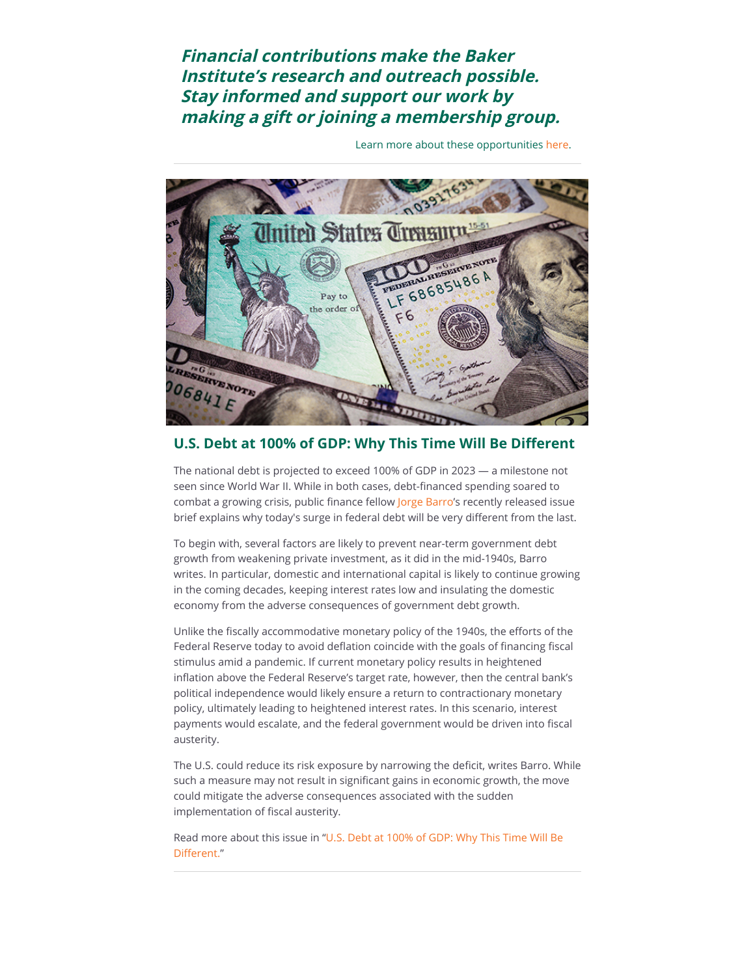# **Financial contributions make the Baker Institute's research and outreach possible. Stay informed and support our work by making a gift or joining a membership group.**

Learn more about these opportunities [here](https://riceconnect.rice.edu/page.redir?target=https%3a%2f%2friceconnect.rice.edu%2fgiving%2fbaker-institute&srcid=187380&srctid=1&erid=e98b76bc-b037-44e7-a64b-d59790f26d8f&trid=e98b76bc-b037-44e7-a64b-d59790f26d8f).



## **U.S. Debt at 100% of GDP: Why This Time Will Be Different**

The national debt is projected to exceed 100% of GDP in 2023 — a milestone not seen since World War II. While in both cases, debt-financed spending soared to combat a growing crisis, public finance fellow [Jorge Barro'](https://riceconnect.rice.edu/page.redir?target=https%3a%2f%2fwww.bakerinstitute.org%2fexperts%2fjorge-barro%2f&srcid=187380&srctid=1&erid=e98b76bc-b037-44e7-a64b-d59790f26d8f&trid=e98b76bc-b037-44e7-a64b-d59790f26d8f)s recently released issue brief explains why today's surge in federal debt will be very different from the last.

To begin with, several factors are likely to prevent near-term government debt growth from weakening private investment, as it did in the mid-1940s, Barro writes. In particular, domestic and international capital is likely to continue growing in the coming decades, keeping interest rates low and insulating the domestic economy from the adverse consequences of government debt growth.

Unlike the fiscally accommodative monetary policy of the 1940s, the efforts of the Federal Reserve today to avoid deflation coincide with the goals of financing fiscal stimulus amid a pandemic. If current monetary policy results in heightened inflation above the Federal Reserve's target rate, however, then the central bank's political independence would likely ensure a return to contractionary monetary policy, ultimately leading to heightened interest rates. In this scenario, interest payments would escalate, and the federal government would be driven into fiscal austerity.

The U.S. could reduce its risk exposure by narrowing the deficit, writes Barro. While such a measure may not result in significant gains in economic growth, the move could mitigate the adverse consequences associated with the sudden implementation of fiscal austerity.

[Read more about this issue in "U.S. Debt at 100% of GDP: Why This Time Will Be](https://riceconnect.rice.edu/page.redir?target=https%3a%2f%2fwww.bakerinstitute.org%2ffiles%2f16601&srcid=187380&srctid=1&erid=e98b76bc-b037-44e7-a64b-d59790f26d8f&trid=e98b76bc-b037-44e7-a64b-d59790f26d8f) Different."